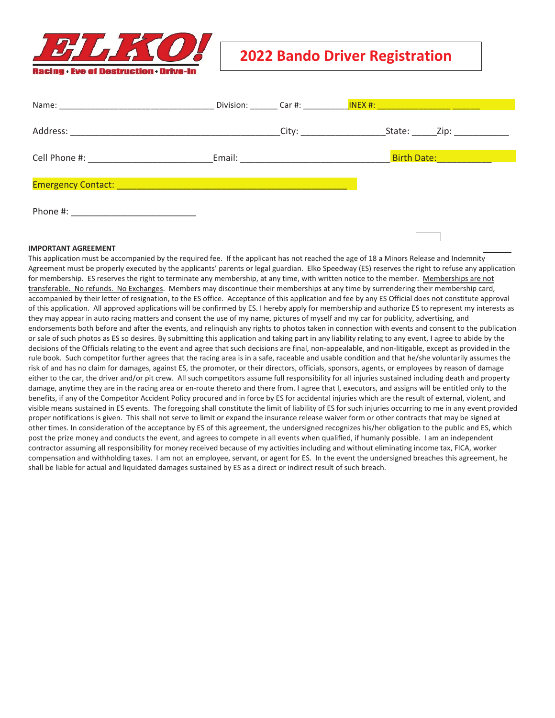

## **2022 Bando Driver Registration**

|                                                                                  |  | Division: Car #: NEX #: NEX #: NEX #: NEX #: NEX #: NEX #: NEX #: NEX #: NEX #: NEX #: NEX #: NEX #: NEX #: NE |
|----------------------------------------------------------------------------------|--|----------------------------------------------------------------------------------------------------------------|
|                                                                                  |  | State: _______Zip: _____________                                                                               |
|                                                                                  |  | Birth Date: <b>All Accounts</b>                                                                                |
| Emergency Contact: Department of the contract of the contract of the contract of |  |                                                                                                                |
| Phone #:                                                                         |  |                                                                                                                |
|                                                                                  |  |                                                                                                                |

## **IMPORTANT AGREEMENT**

This application must be accompanied by the required fee. If the applicant has not reached the age of 18 a Minors Release and Indemnity Agreement must be properly executed by the applicants' parents or legal guardian. Elko Speedway (ES) reserves the right to refuse any application for membership. ES reserves the right to terminate any membership, at any time, with written notice to the member. Memberships are not transferable. No refunds. No Exchanges. Members may discontinue their memberships at any time by surrendering their membership card, accompanied by their letter of resignation, to the ES office. Acceptance of this application and fee by any ES Official does not constitute approval of this application. All approved applications will be confirmed by ES. I hereby apply for membership and authorize ES to represent my interests as they may appear in auto racing matters and consent the use of my name, pictures of myself and my car for publicity, advertising, and endorsements both before and after the events, and relinquish any rights to photos taken in connection with events and consent to the publication or sale of such photos as ES so desires. By submitting this application and taking part in any liability relating to any event, I agree to abide by the decisions of the Officials relating to the event and agree that such decisions are final, non-appealable, and non-litigable, except as provided in the rule book. Such competitor further agrees that the racing area is in a safe, raceable and usable condition and that he/she voluntarily assumes the risk of and has no claim for damages, against ES, the promoter, or their directors, officials, sponsors, agents, or employees by reason of damage either to the car, the driver and/or pit crew. All such competitors assume full responsibility for all injuries sustained including death and property damage, anytime they are in the racing area or en-route thereto and there from. I agree that I, executors, and assigns will be entitled only to the benefits, if any of the Competitor Accident Policy procured and in force by ES for accidental injuries which are the result of external, violent, and visible means sustained in ES events. The foregoing shall constitute the limit of liability of ES for such injuries occurring to me in any event provided proper notifications is given. This shall not serve to limit or expand the insurance release waiver form or other contracts that may be signed at other times. In consideration of the acceptance by ES of this agreement, the undersigned recognizes his/her obligation to the public and ES, which post the prize money and conducts the event, and agrees to compete in all events when qualified, if humanly possible. I am an independent contractor assuming all responsibility for money received because of my activities including and without eliminating income tax, FICA, worker compensation and withholding taxes. I am not an employee, servant, or agent for ES. In the event the undersigned breaches this agreement, he shall be liable for actual and liquidated damages sustained by ES as a direct or indirect result of such breach.